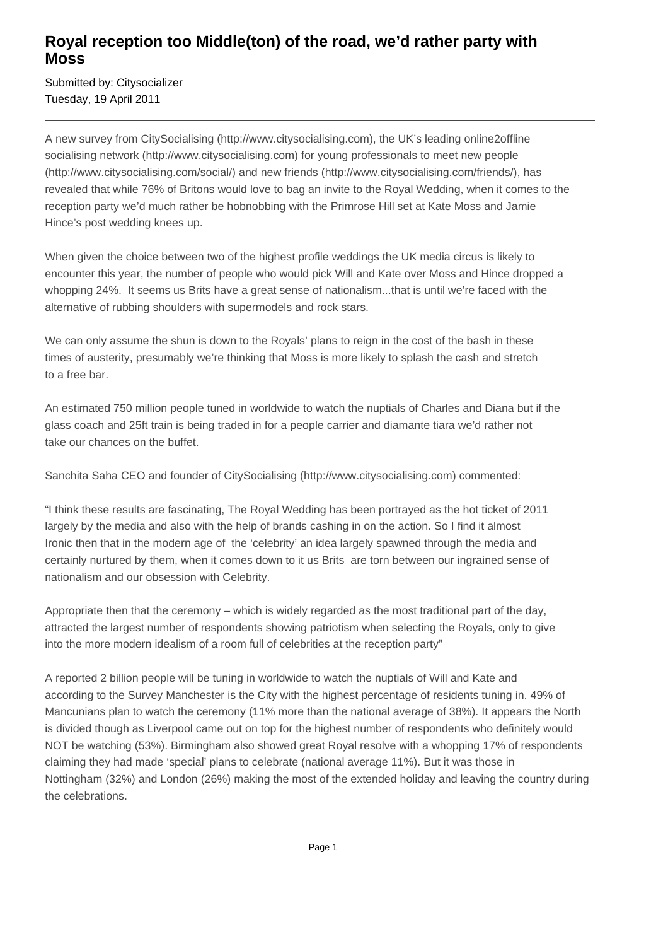## **Royal reception too Middle(ton) of the road, we'd rather party with Moss**

Submitted by: Citysocializer Tuesday, 19 April 2011

A new survey from CitySocialising (http://www.citysocialising.com), the UK's leading online2offline socialising network (http://www.citysocialising.com) for young professionals to meet new people (http://www.citysocialising.com/social/) and new friends (http://www.citysocialising.com/friends/), has revealed that while 76% of Britons would love to bag an invite to the Royal Wedding, when it comes to the reception party we'd much rather be hobnobbing with the Primrose Hill set at Kate Moss and Jamie Hince's post wedding knees up.

When given the choice between two of the highest profile weddings the UK media circus is likely to encounter this year, the number of people who would pick Will and Kate over Moss and Hince dropped a whopping 24%. It seems us Brits have a great sense of nationalism...that is until we're faced with the alternative of rubbing shoulders with supermodels and rock stars.

We can only assume the shun is down to the Royals' plans to reign in the cost of the bash in these times of austerity, presumably we're thinking that Moss is more likely to splash the cash and stretch to a free bar.

An estimated 750 million people tuned in worldwide to watch the nuptials of Charles and Diana but if the glass coach and 25ft train is being traded in for a people carrier and diamante tiara we'd rather not take our chances on the buffet.

Sanchita Saha CEO and founder of CitySocialising (http://www.citysocialising.com) commented:

"I think these results are fascinating, The Royal Wedding has been portrayed as the hot ticket of 2011 largely by the media and also with the help of brands cashing in on the action. So I find it almost Ironic then that in the modern age of the 'celebrity' an idea largely spawned through the media and certainly nurtured by them, when it comes down to it us Brits are torn between our ingrained sense of nationalism and our obsession with Celebrity.

Appropriate then that the ceremony – which is widely regarded as the most traditional part of the day, attracted the largest number of respondents showing patriotism when selecting the Royals, only to give into the more modern idealism of a room full of celebrities at the reception party"

A reported 2 billion people will be tuning in worldwide to watch the nuptials of Will and Kate and according to the Survey Manchester is the City with the highest percentage of residents tuning in. 49% of Mancunians plan to watch the ceremony (11% more than the national average of 38%). It appears the North is divided though as Liverpool came out on top for the highest number of respondents who definitely would NOT be watching (53%). Birmingham also showed great Royal resolve with a whopping 17% of respondents claiming they had made 'special' plans to celebrate (national average 11%). But it was those in Nottingham (32%) and London (26%) making the most of the extended holiday and leaving the country during the celebrations.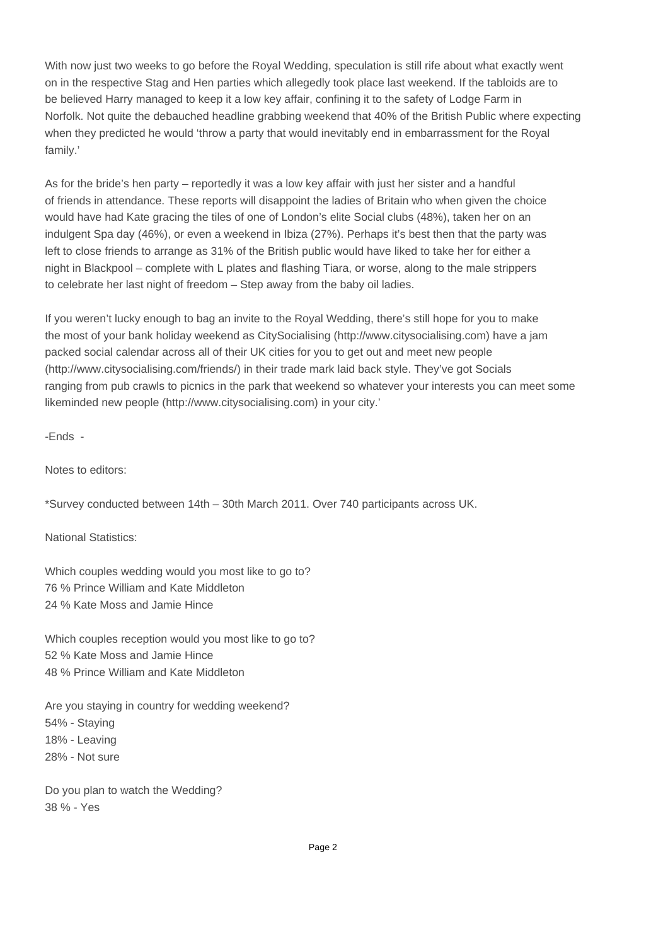With now just two weeks to go before the Royal Wedding, speculation is still rife about what exactly went on in the respective Stag and Hen parties which allegedly took place last weekend. If the tabloids are to be believed Harry managed to keep it a low key affair, confining it to the safety of Lodge Farm in Norfolk. Not quite the debauched headline grabbing weekend that 40% of the British Public where expecting when they predicted he would 'throw a party that would inevitably end in embarrassment for the Royal family.'

As for the bride's hen party – reportedly it was a low key affair with just her sister and a handful of friends in attendance. These reports will disappoint the ladies of Britain who when given the choice would have had Kate gracing the tiles of one of London's elite Social clubs (48%), taken her on an indulgent Spa day (46%), or even a weekend in Ibiza (27%). Perhaps it's best then that the party was left to close friends to arrange as 31% of the British public would have liked to take her for either a night in Blackpool – complete with L plates and flashing Tiara, or worse, along to the male strippers to celebrate her last night of freedom – Step away from the baby oil ladies.

If you weren't lucky enough to bag an invite to the Royal Wedding, there's still hope for you to make the most of your bank holiday weekend as CitySocialising (http://www.citysocialising.com) have a jam packed social calendar across all of their UK cities for you to get out and meet new people (http://www.citysocialising.com/friends/) in their trade mark laid back style. They've got Socials ranging from pub crawls to picnics in the park that weekend so whatever your interests you can meet some likeminded new people (http://www.citysocialising.com) in your city.'

 $-$  Ends  $-$ 

Notes to editors:

\*Survey conducted between 14th – 30th March 2011. Over 740 participants across UK.

National Statistics:

Which couples wedding would you most like to go to? 76 % Prince William and Kate Middleton 24 % Kate Moss and Jamie Hince

Which couples reception would you most like to go to? 52 % Kate Moss and Jamie Hince 48 % Prince William and Kate Middleton

Are you staying in country for wedding weekend? 54% - Staying 18% - Leaving 28% - Not sure

Do you plan to watch the Wedding? 38 % - Yes